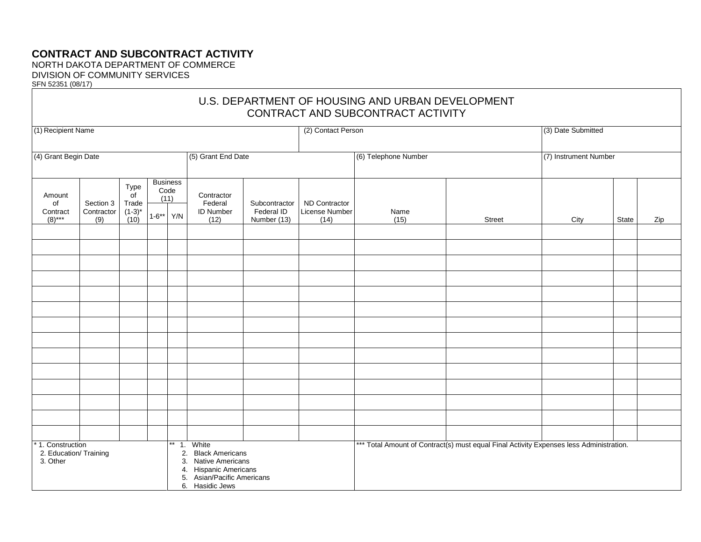## **CONTRACT AND SUBCONTRACT ACTIVITY**

NORTH DAKOTA DEPARTMENT OF COMMERCE DIVISION OF COMMUNITY SERVICES SFN 52351 (08/17)

| U.S. DEPARTMENT OF HOUSING AND URBAN DEVELOPMENT<br>CONTRACT AND SUBCONTRACT ACTIVITY                                                                                                                   |                                |                                                         |                           |                        |                                                   |                                            |                                         |                                                                                         |                       |                    |       |     |
|---------------------------------------------------------------------------------------------------------------------------------------------------------------------------------------------------------|--------------------------------|---------------------------------------------------------|---------------------------|------------------------|---------------------------------------------------|--------------------------------------------|-----------------------------------------|-----------------------------------------------------------------------------------------|-----------------------|--------------------|-------|-----|
| (1) Recipient Name                                                                                                                                                                                      |                                |                                                         |                           |                        |                                                   |                                            | (2) Contact Person                      |                                                                                         |                       | (3) Date Submitted |       |     |
| (4) Grant Begin Date                                                                                                                                                                                    |                                |                                                         |                           |                        | (5) Grant End Date                                |                                            | (6) Telephone Number                    |                                                                                         | (7) Instrument Number |                    |       |     |
| Amount<br>of<br>Contract<br>$(8)$ ***                                                                                                                                                                   | Section 3<br>Contractor<br>(9) | Type<br>$\overline{of}$<br>Trade<br>$(1-3)^{*}$<br>(10) | Code<br>(11)<br>$1 - 6**$ | <b>Business</b><br>Y/N | Contractor<br>Federal<br><b>ID Number</b><br>(12) | Subcontractor<br>Federal ID<br>Number (13) | ND Contractor<br>License Number<br>(14) | Name<br>(15)                                                                            | Street                | City               | State | Zip |
|                                                                                                                                                                                                         |                                |                                                         |                           |                        |                                                   |                                            |                                         |                                                                                         |                       |                    |       |     |
|                                                                                                                                                                                                         |                                |                                                         |                           |                        |                                                   |                                            |                                         |                                                                                         |                       |                    |       |     |
|                                                                                                                                                                                                         |                                |                                                         |                           |                        |                                                   |                                            |                                         |                                                                                         |                       |                    |       |     |
|                                                                                                                                                                                                         |                                |                                                         |                           |                        |                                                   |                                            |                                         |                                                                                         |                       |                    |       |     |
|                                                                                                                                                                                                         |                                |                                                         |                           |                        |                                                   |                                            |                                         |                                                                                         |                       |                    |       |     |
|                                                                                                                                                                                                         |                                |                                                         |                           |                        |                                                   |                                            |                                         |                                                                                         |                       |                    |       |     |
|                                                                                                                                                                                                         |                                |                                                         |                           |                        |                                                   |                                            |                                         |                                                                                         |                       |                    |       |     |
| * 1. Construction<br>** 1. White<br>2. Education/ Training<br><b>Black Americans</b><br>2.<br>3. Other<br>3. Native Americans<br>4. Hispanic Americans<br>5. Asian/Pacific Americans<br>6. Hasidic Jews |                                |                                                         |                           |                        |                                                   |                                            |                                         | *** Total Amount of Contract(s) must equal Final Activity Expenses less Administration. |                       |                    |       |     |